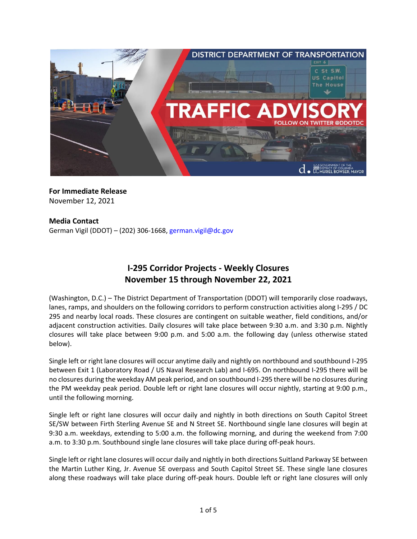

**For Immediate Release** November 12, 2021

## **Media Contact**

German Vigil (DDOT) – (202) 306-1668, [german.vigil@dc.gov](mailto:german.vigil@dc.gov)

# **I-295 Corridor Projects - Weekly Closures November 15 through November 22, 2021**

(Washington, D.C.) – The District Department of Transportation (DDOT) will temporarily close roadways, lanes, ramps, and shoulders on the following corridors to perform construction activities along I-295 / DC 295 and nearby local roads. These closures are contingent on suitable weather, field conditions, and/or adjacent construction activities. Daily closures will take place between 9:30 a.m. and 3:30 p.m. Nightly closures will take place between 9:00 p.m. and 5:00 a.m. the following day (unless otherwise stated below).

Single left or right lane closures will occur anytime daily and nightly on northbound and southbound I-295 between Exit 1 (Laboratory Road / US Naval Research Lab) and I-695. On northbound I-295 there will be no closures during the weekday AM peak period, and on southbound I-295 there will be no closures during the PM weekday peak period. Double left or right lane closures will occur nightly, starting at 9:00 p.m., until the following morning.

Single left or right lane closures will occur daily and nightly in both directions on South Capitol Street SE/SW between Firth Sterling Avenue SE and N Street SE. Northbound single lane closures will begin at 9:30 a.m. weekdays, extending to 5:00 a.m. the following morning, and during the weekend from 7:00 a.m. to 3:30 p.m. Southbound single lane closures will take place during off-peak hours.

Single left or right lane closures will occur daily and nightly in both directions Suitland Parkway SE between the Martin Luther King, Jr. Avenue SE overpass and South Capitol Street SE. These single lane closures along these roadways will take place during off-peak hours. Double left or right lane closures will only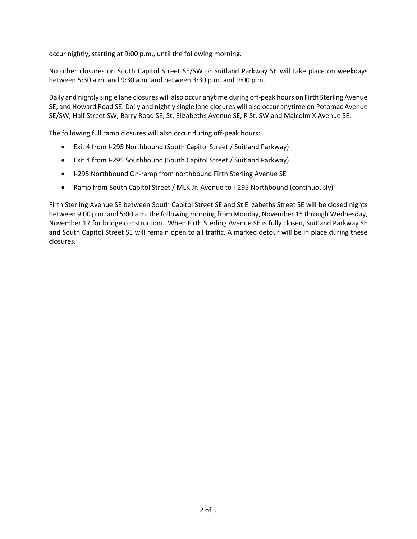occur nightly, starting at 9:00 p.m., until the following morning.

No other closures on South Capitol Street SE/SW or Suitland Parkway SE will take place on weekdays between 5:30 a.m. and 9:30 a.m. and between 3:30 p.m. and 9:00 p.m.

Daily and nightly single lane closures will also occur anytime during off-peak hours on Firth Sterling Avenue SE, and Howard Road SE. Daily and nightly single lane closures will also occur anytime on Potomac Avenue SE/SW, Half Street SW, Barry Road SE, St. Elizabeths Avenue SE, R St. SW and Malcolm X Avenue SE.

The following full ramp closures will also occur during off-peak hours:

- Exit 4 from I-295 Northbound (South Capitol Street / Suitland Parkway)
- Exit 4 from I-295 Southbound (South Capitol Street / Suitland Parkway)
- I-295 Northbound On-ramp from northbound Firth Sterling Avenue SE
- Ramp from South Capitol Street / MLK Jr. Avenue to I-295 Northbound (continuously)

Firth Sterling Avenue SE between South Capitol Street SE and St Elizabeths Street SE will be closed nights between 9:00 p.m. and 5:00 a.m. the following morning from Monday, November 15 through Wednesday, November 17 for bridge construction. When Firth Sterling Avenue SE is fully closed, Suitland Parkway SE and South Capitol Street SE will remain open to all traffic. A marked detour will be in place during these closures.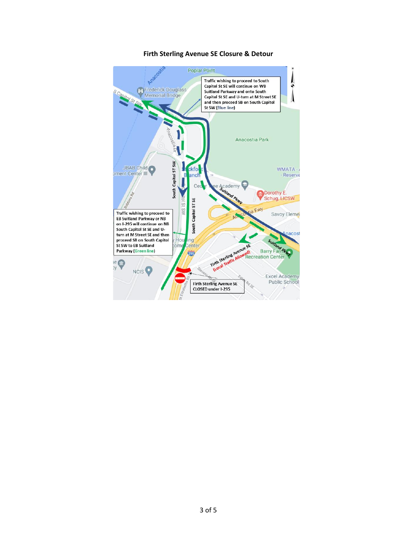

#### Firth Sterling Avenue SE Closure & Detour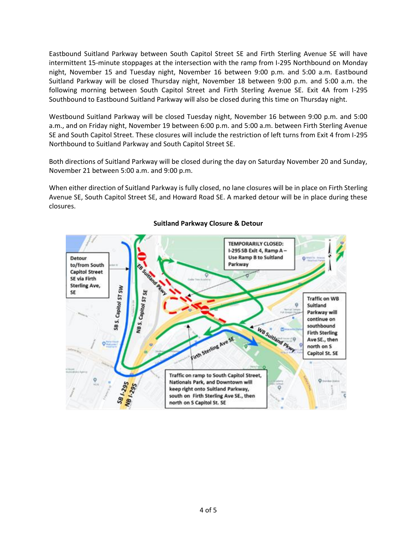Eastbound Suitland Parkway between South Capitol Street SE and Firth Sterling Avenue SE will have intermittent 15-minute stoppages at the intersection with the ramp from I-295 Northbound on Monday night, November 15 and Tuesday night, November 16 between 9:00 p.m. and 5:00 a.m. Eastbound Suitland Parkway will be closed Thursday night, November 18 between 9:00 p.m. and 5:00 a.m. the following morning between South Capitol Street and Firth Sterling Avenue SE. Exit 4A from I-295 Southbound to Eastbound Suitland Parkway will also be closed during this time on Thursday night.

Westbound Suitland Parkway will be closed Tuesday night, November 16 between 9:00 p.m. and 5:00 a.m., and on Friday night, November 19 between 6:00 p.m. and 5:00 a.m. between Firth Sterling Avenue SE and South Capitol Street. These closures will include the restriction of left turns from Exit 4 from I-295 Northbound to Suitland Parkway and South Capitol Street SE.

Both directions of Suitland Parkway will be closed during the day on Saturday November 20 and Sunday, November 21 between 5:00 a.m. and 9:00 p.m.

When either direction of Suitland Parkway is fully closed, no lane closures will be in place on Firth Sterling Avenue SE, South Capitol Street SE, and Howard Road SE. A marked detour will be in place during these closures.



## **Suitland Parkway Closure & Detour**